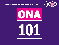

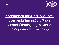



## openandaffirming.org/ona/how openandaffirming.org/bible openandaffirming.org/covenants [ed@openandaffirming.org](mailto:ed@openandaffirming.org)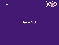



# WHY?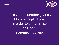



## "Accept one another, just as Christ accepted you, in order to bring praise to God." Romans 15:7 NIV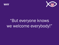



# "But everyone knows we welcome everybody!"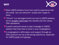



- **V** Most LGBTQ seekers know from painful experience that the words "you are welcome" usually don't apply to them.
- **V** "Church" is a damaged brand not only to LGBTQ seekers, but to straight millennials who identify with the values ONA represents.
- A public welcome sends a clear message to LGBTQ seekers that they have a home in your congregation.
- A congregation's affirmation and support through an ONA covenant can be a life-saving experience, especially for LGBTQ youth and seniors.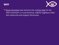



Rural churches have become the cutting edge for the ONA movement. In rural America, LGBTQ neighbors often lack resources and support structures.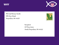**WHY** 



Bob and Nancy Smith 1500 Any Street Anywhere, 0# 44120



Occupant 145 Any Lane South Anywhere, 04 44122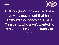### WHY



ONA congregations are part of a growing movement that has restored thousands of LGBTQ Christians, who aren't wanted by other churches, to the family of faith.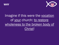



## Imagine if this were the vocation of your church: to restore wholeness to the broken body of Christ!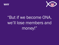



# "But if we become ONA, we'll lose members and money!"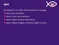



Compared to non-ONA, ONA churches on average:

- have more members.
- attract more new members.
- report higher worship attendance.
- report higher budgets, therefore higher income.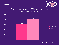



#### ONA churches average 33% more members than non-ONA. (2018)

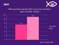



#### ONA churches reported 50% more new members than non-ONA. (2018)

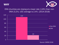



#### ONA churches are closing at a lower rate (1.8%) than non-ONA (3.2%). UCC average is 2.4%. (2014-2018)

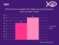



#### ONA churches averaged 33% higher worship attendance than non-ONA. (2018)

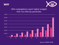



#### ONA congregations report higher budgets than non-ONA (by percentile)

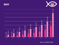

### **WHY**

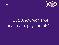



# "But, Andy, won't we become a 'gay church?'"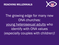

## The growing edge for many new ONA churches: young heterosexual adults who identify with ONA values (especially couples with children)!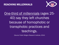

One-third of millennials (ages 25- 40) say they left churches because of homophobic or transphobic practices and teachings.

(Source: Public Religion Research Institute, 2014)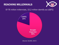## REACHING MILLENNIALS



#### Of 76 million millennials, 15.2 million identify as LGBTQ



(Source: GLAAD, 2017)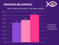## REACHING MILLENNIALS



#### Most millennials support marriage equality

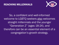

So, a confident and well-informed welcome to LGBTQ seekers also welcomes straight millennials and the younger "Generation Z" (ages 18-24), and therefore can be an essential element of a congregation's growth strategy.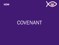

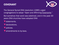

The General Synod ONA resolution (1985) urged congregations to adopt "Open and Affirming Covenants."

But somehow that word was sidelined, and in the past 30 years ONA churches have adopted ONA

- statements.
- **V** declarations.
- policies.
- amendments to by-laws.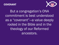



But a congregation's ONA commitment is best understood as a "covenant"—a value deeply rooted in the Bible and in the theology of our Reformed ancestors.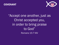



## "Accept one another, just as Christ accepted you, in order to bring praise to God" Romans 15:7 NIV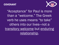



"Acceptance" for Paul is more than a "welcome." The Greek verb he uses means "to take" others into our lives—not a transitory welcome but enduring relationship.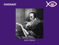



#### John Calvin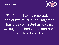



"For Christ, having received, not one or two of us, but all together, has thus connected us, so that we ought to cherish one another." John Calvin on Romans 15:7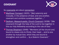

#### So covenants are about connection:

- Mayflower Compact (1620): "[We] solemnly and mutually, in the presence of God, and one another, covenant and combine ourselves together…."
- Dedham, Massachusetts, Church Covenant (1638): "[We covenant] through the help of the Lord to live together in this our holy fellowship according to the rule of love."
- **V** Thomas Shephard (1648): "Members [of the church are] bound to cleave only to Christ, their head … and to one another by mutual love, which they are bound to strengthen and confirm … by a Solemn Covenant."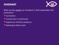

What are the values our ancestors in faith associated with covenants?

- **V** connection
- **V** mutual love in community
- experience of God's presence
- listening to God's word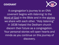

A congregation's journey to an ONA covenant begins with *listening:* to the Word of God in the Bible and in the stories we share with each other. "Holy listening" in 1638 helped the Dedham church discern their future as a congregation. Your personal stories will open hearts and minds as you continue on this journey of discovery.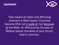



That means an Open and Affirming covenant is Bible-based. Churches become ONA not in spite of, but because of the Bible. An ONA journey focuses on Biblical values members of your church hold in common.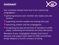

Your members already know how to be a welcoming congregation:

- $\blacktriangledown$  gathering around a sick member who needs care and comfort.
- **V** supporting married couples and sharing their joys.
- welcoming children into the congregation.
- recognizing the joys and sorrows of members in public prayer, celebrating anniversaries and other life-events.
- Members of your congregation already know how to welcome and support each other! An ONA commitment simply deepens a church's ministry of caring.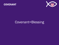



## Covenant=Blessing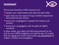

The journey towards an ONA covenant can:

- **V** deepen your relationships with God and each other.
- open doors to new ways of living in faithful response to God's plan for your church.
- **V** revive your congregation's passion for mission and ministry.
- **V** Enrich your congregation with the gifts of LGBTQ members.

In other words, your Open and Affirming covenant is not only for your LGBTQ neighbors, but also for you. It's a path that can revive your church and create new possibilities for mission, ministry and evangelism.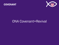



## ONA Covenant=Revival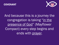



## And because this is a journey the congregation is taking "in the presence of God" (Mayflower Compact) every step begins and ends with prayer.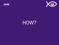



# HOW?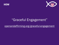



## "Graceful Engagement"

openandaffirming.org/graceful-engagement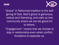### **HOW**



"Grace" in Reformed tradition is the selfgiving of God. God's grace is generous, radical and liberating, and calls us into community where we can be grace-ful to others.

"Engagement" means that we choose to stay in relationship even when conflict threatens to separate us.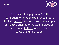



So, "Graceful Engagement" as the foundation for an ONA experience means that we accept each other as God accepts us, forgive each other as God forgives us, and remain faithful to each other as God is faithful to us.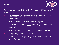



Three applications of "Graceful Engagement" in your ONA experience:

1. A successful ONA process should build consensus and reduce conflict.

*Goal: to unite, not divide the congregation.*

2. Everyone should feel safe, and everyone should be heard with respect.

*No one should feel they've been shamed into silence.*

3. Every congregation is unique. *The BIC Toolkit helps you plan an ONA process that works for you.*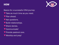



Basics for a successful ONA journey:

- Take as much time as you need.
- **V** Plan ahead.
- **V** Ask questions.
- Build relationships.
- **V** Share stories.
- Communicate!
- Provide pastoral care.
- Worship and pray!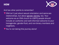### HOW



And two other points to remember!

- **V** ONA isn't just about sexual orientation and same-sex relationships, but about gender identity, too. Your welcome as an ONA church to LGBTQ people should include an authentic and well-informed welcome to your transgender, gender-fluid, and non-binary members and neighbors.
- V You're not taking this journey alone!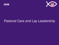



## Pastoral Care and Lay Leadership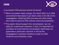### HOW



A successful ONA process should be lay-led:

- When the pastor takes charge, the result often is an ONA commitment that doesn't put down roots in the life of the congregation. Faltering ONA churches are often those who voted to become ONA without active lay leadership.
- The pastor should support the conversation, but not lobby for a particular outcome. In fact, it's important for members to know that the conversation itself does not guarantee a particular outcome. It will be the congregation's decision whether to draft an ONA covenant and schedule a vote.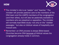### **HOW**



- **V** The minister's role is as "pastor" and "teacher." The minister will provide pastoral care to the members of the ONA team and the LGBTQ members of the congregation (and their allies), but will also be pastorally available to members who are skeptical or opposition. The minister will normally lead Bible study—not only on the "clobber passages," but also on biblical values of hospitality and mutual care.
- **V** Remember: an ONA process is always Bible-based. Churches become ONA because of biblical values the congregation already holds in common.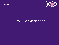



## 1-to-1 Conversations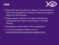### **HOW**



- **W** Helps ONA planning teams to deepen understanding of what the congregation's members need as you begin to design the ONA process.
- Helps engage members who might otherwise be oppositional and refuse to participate in the ONA process.
- Strengthens relationships in the congregation.
- **V** 1-to-1 Conversations webinar Nov. 9: www.frontlinefaith.org/courses/category/ona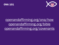



## openandaffirming.org/ona/how openandaffirming.org/bible openandaffirming.org/covenants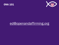



## [ed@openandaffirming.org](mailto:ed@openandaffirming.org)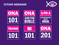### FUTURE WEBINARS